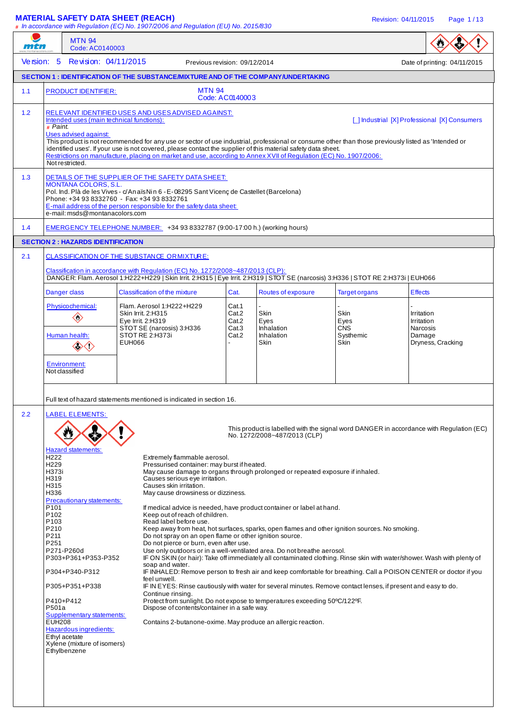#### **MATERIAL SAFETY DATA SHEET (REACH)** Revision: 04/11/2015 Page 1 / 13

|            |                                                                                                                                                            | # In accordance with Regulation (EC) No. 1907/2006 and Regulation (EU) No. 2015/830                                                                                                                                                                                                                                                                                                                                                             |                                  |                                                                                                                                                                                                                                                                                                                                                                               |                            |                                                                                         |
|------------|------------------------------------------------------------------------------------------------------------------------------------------------------------|-------------------------------------------------------------------------------------------------------------------------------------------------------------------------------------------------------------------------------------------------------------------------------------------------------------------------------------------------------------------------------------------------------------------------------------------------|----------------------------------|-------------------------------------------------------------------------------------------------------------------------------------------------------------------------------------------------------------------------------------------------------------------------------------------------------------------------------------------------------------------------------|----------------------------|-----------------------------------------------------------------------------------------|
| mtn        | <b>MTN 94</b><br>Code: AC0140003                                                                                                                           |                                                                                                                                                                                                                                                                                                                                                                                                                                                 |                                  |                                                                                                                                                                                                                                                                                                                                                                               |                            |                                                                                         |
| Version: 5 | Revision: 04/11/2015                                                                                                                                       |                                                                                                                                                                                                                                                                                                                                                                                                                                                 | Previous revision: 09/12/2014    |                                                                                                                                                                                                                                                                                                                                                                               |                            | Date of printing: 04/11/2015                                                            |
|            |                                                                                                                                                            | <b>SECTION 1: IDENTIFICATION OF THE SUBSTANCE/MIXTURE AND OF THE COMPANY/UNDERTAKING</b>                                                                                                                                                                                                                                                                                                                                                        |                                  |                                                                                                                                                                                                                                                                                                                                                                               |                            |                                                                                         |
| 1.1        | <b>PRODUCT IDENTIFIER:</b>                                                                                                                                 | <b>MTN 94</b>                                                                                                                                                                                                                                                                                                                                                                                                                                   | Code: AC0140003                  |                                                                                                                                                                                                                                                                                                                                                                               |                            |                                                                                         |
| $1.2$      | Intended uses (main technical functions):<br># Paint.<br>Uses advised against:<br>Not restricted.                                                          | RELEVANT IDENTIFIED USES AND USES ADVISED AGAINST:<br>This product is not recommended for any use or sector of use industrial, professional or consume other than those previously listed as 'Intended or<br>identified uses'. If your use is not covered, please contact the supplier of this material safety data sheet.<br>Restrictions on manufacture, placing on market and use, according to Annex XVII of Regulation (EC) No. 1907/2006: |                                  |                                                                                                                                                                                                                                                                                                                                                                               |                            | [ ] Industrial [X] Professional [X] Consumers                                           |
| 1.3        | <b>MONTANA COLORS, S.L.</b><br>e-mail: msds@montanacolors.com                                                                                              | DETAILS OF THE SUPPLIER OF THE SAFETY DATA SHEET:<br>Pol. Ind. Plà de les Vives - c/An aïs Nin 6 - E-08295 Sant Vicenç de Castellet (Barcelona)<br>Phone: +34 93 8332760 - Fax: +34 93 8332761<br>E-mail address of the person responsible for the safety data sheet:                                                                                                                                                                           |                                  |                                                                                                                                                                                                                                                                                                                                                                               |                            |                                                                                         |
| 1.4        |                                                                                                                                                            | EMERGENCY TELEPHONE NUMBER: +34 93 8332787 (9:00-17:00 h.) (working hours)                                                                                                                                                                                                                                                                                                                                                                      |                                  |                                                                                                                                                                                                                                                                                                                                                                               |                            |                                                                                         |
|            | <b>SECTION 2: HAZARDS IDENTIFICATION</b>                                                                                                                   |                                                                                                                                                                                                                                                                                                                                                                                                                                                 |                                  |                                                                                                                                                                                                                                                                                                                                                                               |                            |                                                                                         |
| 2.1        |                                                                                                                                                            | <b>CLASSIFICATION OF THE SUBSTANCE ORMIXTURE:</b><br>Classification in accordance with Regulation (EC) No. 1272/2008~487/2013 (CLP):<br>DANGER: Flam. Aerosol 1:H222+H229   Skin Irrit. 2:H315   Eye Irrit. 2:H319   STOT SE (narcosis) 3:H336   STOT RE 2:H373i   EUH066                                                                                                                                                                       |                                  |                                                                                                                                                                                                                                                                                                                                                                               |                            |                                                                                         |
|            | Danger class                                                                                                                                               | <b>Classification of the mixture</b>                                                                                                                                                                                                                                                                                                                                                                                                            | Cat.                             | Routes of exposure                                                                                                                                                                                                                                                                                                                                                            | <b>Target organs</b>       | <b>Effects</b>                                                                          |
|            | Physicochemical:<br>◈                                                                                                                                      | Flam. Aerosol 1:H222+H229<br>Skin Irrit. 2:H315<br>Eye Irrit. 2:H319<br>STOT SE (narcosis) 3:H336                                                                                                                                                                                                                                                                                                                                               | Cat.1<br>Cat.2<br>Cat.2<br>Cat.3 | Skin<br>Eyes<br><b>Inhalation</b>                                                                                                                                                                                                                                                                                                                                             | Skin<br>Eyes<br><b>CNS</b> | Irritation<br>Irritation<br>Narcosis                                                    |
|            | Human health:<br><><:>                                                                                                                                     | STOT RE 2:H373i<br><b>EUH066</b>                                                                                                                                                                                                                                                                                                                                                                                                                | Cat.2                            | Inhalation<br>Skin                                                                                                                                                                                                                                                                                                                                                            | Systhemic<br>Skin          | Damage<br>Dryness, Cracking                                                             |
|            | <b>Environment:</b><br>Not classified                                                                                                                      |                                                                                                                                                                                                                                                                                                                                                                                                                                                 |                                  |                                                                                                                                                                                                                                                                                                                                                                               |                            |                                                                                         |
|            |                                                                                                                                                            | Full text of hazard statements mentioned is indicated in section 16.                                                                                                                                                                                                                                                                                                                                                                            |                                  |                                                                                                                                                                                                                                                                                                                                                                               |                            |                                                                                         |
| 2.2        | <b>LABEL ELEMENTS:</b>                                                                                                                                     |                                                                                                                                                                                                                                                                                                                                                                                                                                                 |                                  |                                                                                                                                                                                                                                                                                                                                                                               |                            |                                                                                         |
|            |                                                                                                                                                            |                                                                                                                                                                                                                                                                                                                                                                                                                                                 |                                  | No. 1272/2008~487/2013 (CLP)                                                                                                                                                                                                                                                                                                                                                  |                            | This product is labelled with the signal word DANGER in accordance with Regulation (EC) |
|            | <b>Hazard statements:</b><br>H <sub>222</sub><br>H <sub>229</sub><br>H373i<br>H319<br>H315<br>H336<br><b>Precautionary statements:</b><br>P <sub>101</sub> | Extremely flammable aerosol.<br>Pressurised container: may burst if heated.<br>Causes serious eye irritation.<br>Causes skin irritation.<br>May cause drowsiness or dizziness.                                                                                                                                                                                                                                                                  |                                  | May cause damage to organs through prolonged or repeated exposure if inhaled.                                                                                                                                                                                                                                                                                                 |                            |                                                                                         |
|            | P102<br>P <sub>103</sub><br>P210<br>P211<br>P251<br>P271-P260d<br>P303+P361+P353-P352                                                                      | Keep out of reach of children.<br>Read label before use.<br>Do not spray on an open flame or other ignition source.<br>Do not pierce or burn, even after use.<br>soap and water.                                                                                                                                                                                                                                                                |                                  | If medical advice is needed, have product container or label at hand.<br>Keep away from heat, hot surfaces, sparks, open flames and other ignition sources. No smoking.<br>Use only outdoors or in a well-ventilated area. Do not breathe aerosol.<br>IF ON SKIN (or hair): Take off immediately all contaminated clothing. Rinse skin with water/shower. Wash with plenty of |                            |                                                                                         |
|            | P304+P340-P312                                                                                                                                             | feel unwell.                                                                                                                                                                                                                                                                                                                                                                                                                                    |                                  | IF INHALED: Remove person to fresh air and keep comfortable for breathing. Call a POISON CENTER or doctor if you                                                                                                                                                                                                                                                              |                            |                                                                                         |
|            | P305+P351+P338<br>P410+P412<br>P501a                                                                                                                       | Continue rinsing.<br>Dispose of contents/container in a safe way.                                                                                                                                                                                                                                                                                                                                                                               |                                  | IF IN EYES: Rinse cautiously with water for several minutes. Remove contact lenses, if present and easy to do.<br>Protect from sunlight. Do not expose to temperatures exceeding 50°C/122°F.                                                                                                                                                                                  |                            |                                                                                         |
|            | <b>Supplementary statements:</b><br><b>EUH208</b><br>Hazardous ingredients:<br>Ethyl acetate<br>Xylene (mixture of isomers)<br>Ethylbenzene                | Contains 2-butanone-oxime. May produce an allergic reaction.                                                                                                                                                                                                                                                                                                                                                                                    |                                  |                                                                                                                                                                                                                                                                                                                                                                               |                            |                                                                                         |
|            |                                                                                                                                                            |                                                                                                                                                                                                                                                                                                                                                                                                                                                 |                                  |                                                                                                                                                                                                                                                                                                                                                                               |                            |                                                                                         |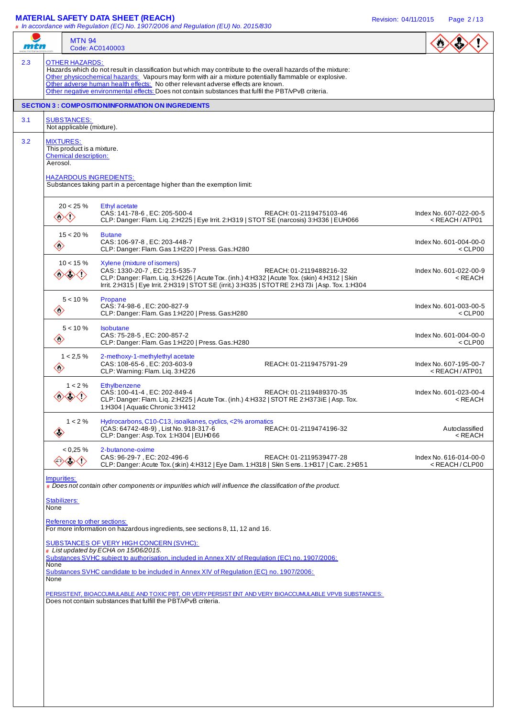#### **MATERIAL SAFETY DATA SHEET (REACH)** Revision: 04/11/2015 Page 2 / 13

**#** In accordance with Regulation (EC) No. 1907/2006 and Regulation (EU) No. 2015/830

| mtn                          | <b>MTN 94</b><br>Code: AC0140003                                                                                                                                                                                                                                                                                                                                                                                                             |                                                           |
|------------------------------|----------------------------------------------------------------------------------------------------------------------------------------------------------------------------------------------------------------------------------------------------------------------------------------------------------------------------------------------------------------------------------------------------------------------------------------------|-----------------------------------------------------------|
|                              | <b>OTHER HAZARDS:</b><br>Hazards which do not result in classification but which may contribute to the overall hazards of the mixture:<br>Other physicochemical hazards: Vapours may form with air a mixture potentially flammable or explosive.<br>Other adverse human health effects: No other relevant adverse effects are known.<br>Other negative environmental effects: Does not contain substances that fulfil the PBT/vPvB criteria. |                                                           |
|                              | <b>SECTION 3 : COMPOSITION/INFORMATION ON INGREDIENTS</b>                                                                                                                                                                                                                                                                                                                                                                                    |                                                           |
|                              | <b>SUBSTANCES:</b><br>Not applicable (mixture).                                                                                                                                                                                                                                                                                                                                                                                              |                                                           |
| <b>MIXTURES:</b><br>Aerosol. | This product is a mixture.<br><b>Chemical description:</b><br><b>HAZARDOUS INGREDIENTS:</b><br>Substances taking part in a percentage higher than the exemption limit:                                                                                                                                                                                                                                                                       |                                                           |
|                              |                                                                                                                                                                                                                                                                                                                                                                                                                                              |                                                           |
|                              | $20 < 25 \%$<br>Ethyl acetate<br>CAS: 141-78-6, EC: 205-500-4<br>REACH: 01-2119475103-46<br>◈◇<br>CLP: Danger: Flam. Liq. 2:H225   Eye Irrit. 2:H319   STOT SE (narcosis) 3:H336   EUH066                                                                                                                                                                                                                                                    | Index No. 607-022-00-5<br><reach atp01<="" td=""></reach> |
| $\diamondsuit$               | $15 < 20 \%$<br><b>Butane</b><br>CAS: 106-97-8. EC: 203-448-7<br>CLP: Danger: Flam. Gas 1:H220   Press. Gas.:H280                                                                                                                                                                                                                                                                                                                            | Index No. 601-004-00-0<br>$<$ CLP00                       |
|                              | $10 < 15 \%$<br>Xylene (mixture of isomers)<br>CAS: 1330-20-7, EC: 215-535-7<br>REACH: 01-2119488216-32<br>◇◇◇<br>CLP: Danger: Flam. Liq. 3:H226   Acute Tox. (inh.) 4:H332   Acute Tox. (skin) 4:H312   Skin<br>Irrit. 2:H315   Eye Irrit. 2:H319   STOT SE (irrit.) 3:H335   STOT RE 2:H373i   Asp. Tox. 1:H304                                                                                                                            | Index No. 601-022-00-9<br>< REACH                         |
| $\langle \rangle$            | $5 < 10 \%$<br>Propane<br>CAS: 74-98-6, EC: 200-827-9<br>CLP: Danger: Flam. Gas 1:H220   Press. Gas:H280                                                                                                                                                                                                                                                                                                                                     | Index No. 601-003-00-5<br>$<$ CLP00                       |
| $\langle \rangle$            | $5 < 10 \%$<br><b>Isobutane</b><br>CAS: 75-28-5, EC: 200-857-2<br>CLP: Danger: Flam. Gas 1:H220   Press. Gas.:H280                                                                                                                                                                                                                                                                                                                           | Index No. 601-004-00-0<br>$<$ CLP00                       |
| $\diamondsuit$               | $1 < 2.5 \%$<br>2-methoxy-1-methylethyl acetate<br>CAS: 108-65-6. EC: 203-603-9<br>REACH: 01-2119475791-29<br>CLP: Warning: Flam. Liq. 3:H226                                                                                                                                                                                                                                                                                                | Index No. 607-195-00-7<br><reach atp01<="" td=""></reach> |
|                              | $1 < 2\%$<br>Ethylbenzene<br>CAS: 100-41-4, EC: 202-849-4<br>REACH: 01-2119489370-35<br>CLP: Danger: Flam. Lig. 2:H225   Acute Tox. (inh.) 4:H332   STOT RE 2:H373iE   Asp. Tox.<br>1:H304   Aquatic Chronic 3:H412                                                                                                                                                                                                                          | Index No. 601-023-00-4<br><reach< td=""></reach<>         |
| $\langle \rangle$            | $1 < 2\%$<br>Hydrocarbons, C10-C13, isoalkanes, cyclics, <2% aromatics<br>(CAS: 64742-48-9), List No. 918-317-6<br>REACH: 01-2119474196-32<br>CLP: Danger: Asp. Tox 1:H304   EUH066                                                                                                                                                                                                                                                          | Autoclassified<br><reach< td=""></reach<>                 |
|                              | $< 0.25 \%$<br>2-butanone-oxime<br>CAS: 96-29-7, EC: 202-496-6<br>REACH: 01-2119539477-28<br>◇◇◇<br>CLP: Danger: Acute Tox. (skin) 4: H312   Eye Dam. 1: H318   Skin Sens. 1: H317   Carc. 2: H351                                                                                                                                                                                                                                           | Index No. 616-014-00-0<br>$<$ REACH/CLP00                 |
| Impurities:                  | # Does not contain other components or impurities which will influence the classification of the product.                                                                                                                                                                                                                                                                                                                                    |                                                           |
| Stabilizers:<br>None         |                                                                                                                                                                                                                                                                                                                                                                                                                                              |                                                           |
|                              | Reference to other sections:<br>For more information on hazardous ingredients, see sections 8, 11, 12 and 16.                                                                                                                                                                                                                                                                                                                                |                                                           |
|                              | <b>SUBSTANCES OF VERY HIGH CONCERN (SVHC):</b>                                                                                                                                                                                                                                                                                                                                                                                               |                                                           |
|                              | # List updated by ECHA on 15/06/2015.<br>Substances SVHC subject to authorisation, included in Annex XIV of Regulation (EC) no. 1907/2006:                                                                                                                                                                                                                                                                                                   |                                                           |
| None<br>None                 | Substances SVHC candidate to be included in Annex XIV of Regulation (EC) no. 1907/2006:                                                                                                                                                                                                                                                                                                                                                      |                                                           |
|                              | PERSISTENT, BIOACCUMULABLE AND TOXIC PBT, OR VERY PERSIST ENT AND VERY BIOACCUMULABLE VPVB SUBSTANCES:                                                                                                                                                                                                                                                                                                                                       |                                                           |
|                              | Does not contain substances that fulfill the PBT/vPvB criteria.                                                                                                                                                                                                                                                                                                                                                                              |                                                           |
|                              |                                                                                                                                                                                                                                                                                                                                                                                                                                              |                                                           |
|                              |                                                                                                                                                                                                                                                                                                                                                                                                                                              |                                                           |
|                              |                                                                                                                                                                                                                                                                                                                                                                                                                                              |                                                           |
|                              |                                                                                                                                                                                                                                                                                                                                                                                                                                              |                                                           |
|                              |                                                                                                                                                                                                                                                                                                                                                                                                                                              |                                                           |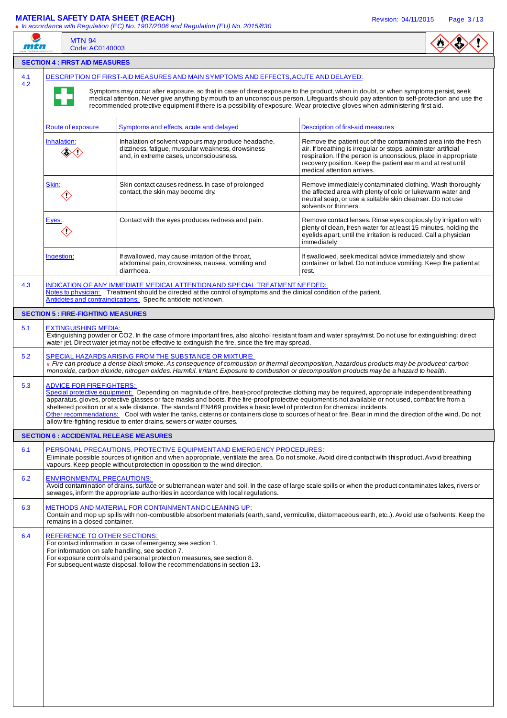### **MATERIAL SAFETY DATA SHEET (REACH)** Revision: 04/11/2015 Page 3 / 13

**#** In accordance with Regulation (EC) No. 1907/2006 and Regulation (EU) No. 2015/830

| mtn        | <b>MTN 94</b>                         | # In accordance with Regulation (EC) No. 1907/2006 and Regulation (EU) No. 2015/830<br>Code: AC0140003                                                                                                                                                                                                                                                                                                                                                                                                                                                                                                                                                                       |                                                                                                                                                                                                         |
|------------|---------------------------------------|------------------------------------------------------------------------------------------------------------------------------------------------------------------------------------------------------------------------------------------------------------------------------------------------------------------------------------------------------------------------------------------------------------------------------------------------------------------------------------------------------------------------------------------------------------------------------------------------------------------------------------------------------------------------------|---------------------------------------------------------------------------------------------------------------------------------------------------------------------------------------------------------|
|            | <b>SECTION 4 : FIRST AID MEASURES</b> |                                                                                                                                                                                                                                                                                                                                                                                                                                                                                                                                                                                                                                                                              |                                                                                                                                                                                                         |
| 4.1<br>4.2 |                                       | DESCRIPTION OF FIRST-AID MEASURES AND MAIN SYMPTOMS AND EFFECTS, ACUTE AND DELAYED:<br>Symptoms may occur after exposure, so that in case of direct exposure to the product, when in doubt, or when symptoms persist, seek<br>medical attention. Never give anything by mouth to an unconscious person. Lifeguards should pay attention to self-protection and use the<br>recommended protective equipment if there is a possibility of exposure. Wear protective gloves when administering first aid.                                                                                                                                                                       |                                                                                                                                                                                                         |
|            | Route of exposure                     | Symptoms and effects, acute and delayed<br>Description of first-aid measures                                                                                                                                                                                                                                                                                                                                                                                                                                                                                                                                                                                                 |                                                                                                                                                                                                         |
|            | Inhalation:<br><><:>                  | Inhalation of solvent vapours may produce headache,<br>dizziness, fatigue, muscular weakness, drowsiness<br>air. If breathing is irregular or stops, administer artificial<br>and, in extreme cases, unconsciousness.<br>recovery position. Keep the patient warm and at rest until<br>medical attention arrives.                                                                                                                                                                                                                                                                                                                                                            | Remove the patient out of the contaminated area into the fresh<br>respiration. If the person is unconscious, place in appropriate                                                                       |
|            | <u>Skin:</u><br>$\langle \rangle$     | Skin contact causes redness. In case of prolonged<br>contact, the skin may become dry.<br>neutral soap, or use a suitable skin cleanser. Do not use<br>solvents or thinners.                                                                                                                                                                                                                                                                                                                                                                                                                                                                                                 | Remove immediately contaminated clothing. Wash thoroughly<br>the affected area with plenty of cold or lukewarm water and                                                                                |
|            | Eyes:<br>$\langle \rangle$            | Contact with the eyes produces redness and pain.<br>immediately.                                                                                                                                                                                                                                                                                                                                                                                                                                                                                                                                                                                                             | Remove contact lenses. Rinse eyes copiously by irrigation with<br>plenty of clean, fresh water for at least 15 minutes, holding the<br>eyelids apart, until the irritation is reduced. Call a physician |
|            | Ingestion:                            | If swallowed, may cause irritation of the throat,<br>If swallowed, seek medical advice immediately and show<br>abdominal pain, drowsiness, nausea, vomiting and<br>diarrhoea.<br>rest.                                                                                                                                                                                                                                                                                                                                                                                                                                                                                       | container or label. Do not induce vomiting. Keep the patient at                                                                                                                                         |
| 4.3        |                                       | INDICATION OF ANY IMMEDIATE MEDICAL ATTENTION AND SPECIAL TREATMENT NEEDED:<br>Notes to physician: Treatment should be directed at the control of symptoms and the clinical condition of the patient.<br>Antidotes and contraindications: Specific antidote not known.                                                                                                                                                                                                                                                                                                                                                                                                       |                                                                                                                                                                                                         |
|            |                                       | <b>SECTION 5 : FIRE-FIGHTING MEASURES</b>                                                                                                                                                                                                                                                                                                                                                                                                                                                                                                                                                                                                                                    |                                                                                                                                                                                                         |
| 5.1        | <b>EXTINGUISHING MEDIA:</b>           | Extinguishing powder or CO2. In the case of more important fires, also alcohol resistant foam and water spray/mist. Do not use for extinguishing: direct<br>water jet. Direct water jet may not be effective to extinguish the fire, since the fire may spread.                                                                                                                                                                                                                                                                                                                                                                                                              |                                                                                                                                                                                                         |
| 5.2        |                                       | SPECIAL HAZARDS ARISING FROM THE SUBSTANCE OR MIXTURE:<br># Fire can produce a dense black smoke. As consequence of combustion or thermal decomposition, hazardous products may be produced: carbon<br>monoxide, carbon dioxide, nitrogen oxides. Harmful. Irritant. Exposure to combustion or decomposition products may be a hazard to health.                                                                                                                                                                                                                                                                                                                             |                                                                                                                                                                                                         |
| 5.3        | <b>ADVICE FOR FIREFIGHTERS:</b>       | Special protective equipment: Depending on magnitude of fire, heat-proof protective clothing may be required, appropriate independent breathing<br>apparatus, gloves, protective glasses or face masks and boots. If the fire-proof protective equipment is not available or not used, combat fire from a<br>sheltered position or at a safe distance. The standard EN469 provides a basic level of protection for chemical incidents.<br>Other recommendations: Cool with water the tanks, cisterns or containers close to sources of heat or fire. Bear in mind the direction of the wind. Do not<br>allow fire-fighting residue to enter drains, sewers or water courses. |                                                                                                                                                                                                         |
|            |                                       | <b>SECTION 6 : ACCIDENTAL RELEASE MEASURES</b>                                                                                                                                                                                                                                                                                                                                                                                                                                                                                                                                                                                                                               |                                                                                                                                                                                                         |
| 6.1        |                                       | PERSONAL PRECAUTIONS, PROTECTIVE EQUIPMENT AND EMERGENCY PROCEDURES:<br>Eliminate possible sources of ignition and when appropriate, ventilate the area. Do not smoke. Avoid dired contact with this product. Avoid breathing<br>vapours. Keep people without protection in opossition to the wind direction.                                                                                                                                                                                                                                                                                                                                                                |                                                                                                                                                                                                         |
| 6.2        |                                       | <b>ENVIRONMENTAL PRECAUTIONS:</b><br>Avoid contamination of drains, surface or subterranean water and soil. In the case of large scale spills or when the product contaminates lakes, rivers or<br>sewages, inform the appropriate authorities in accordance with local regulations.                                                                                                                                                                                                                                                                                                                                                                                         |                                                                                                                                                                                                         |
| 6.3        | remains in a closed container.        | METHODS AND MATERIAL FOR CONTAINMENT AND CLEANING UP:<br>Contain and mop up spills with non-combustible absorbent materials (earth, sand, vermiculite, diatomaceous earth, etc). Avoid use of solvents. Keep the                                                                                                                                                                                                                                                                                                                                                                                                                                                             |                                                                                                                                                                                                         |
| 6.4        |                                       | REFERENCE TO OTHER SECTIONS:<br>For contact information in case of emergency, see section 1.<br>For information on safe handling, see section 7.<br>For exposure controls and personal protection measures, see section 8.<br>For subsequent waste disposal, follow the recommendations in section 13.                                                                                                                                                                                                                                                                                                                                                                       |                                                                                                                                                                                                         |
|            |                                       |                                                                                                                                                                                                                                                                                                                                                                                                                                                                                                                                                                                                                                                                              |                                                                                                                                                                                                         |
|            |                                       |                                                                                                                                                                                                                                                                                                                                                                                                                                                                                                                                                                                                                                                                              |                                                                                                                                                                                                         |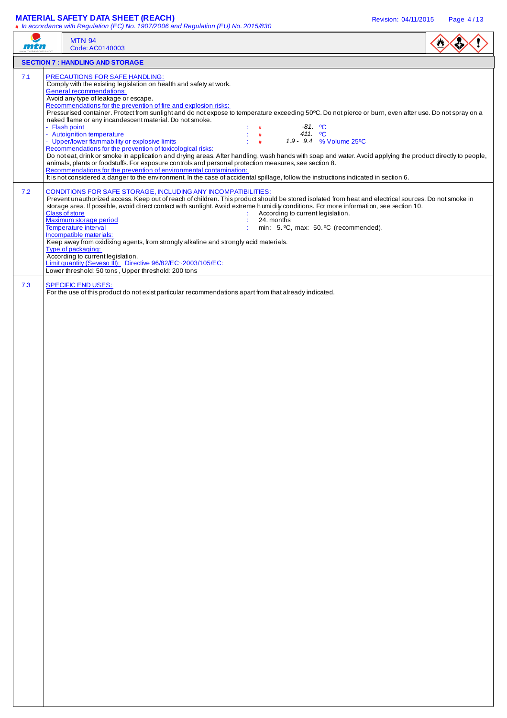#### **MATERIAL SAFETY DATA SHEET (REACH)** Revision: 04/11/2015 Page 4 / 13

**#** In accordance with Regulation (EC) No. 1907/2006 and Regulation (EU) No. 2015/830

| <i>iii</i> 47 | $\frac{1}{2}$ in doctribution with regulation (EO) No. 1901/2000 and regulation (EO) No. 2010/000<br><b>MTN 94</b><br>Code: AC0140003                                                                                                                                                                                                                                                                                                                                                                                                                                                                                                                                                                                                                                                                                                                                                                                                                                                                                                                                                                                                                                                                          |  |
|---------------|----------------------------------------------------------------------------------------------------------------------------------------------------------------------------------------------------------------------------------------------------------------------------------------------------------------------------------------------------------------------------------------------------------------------------------------------------------------------------------------------------------------------------------------------------------------------------------------------------------------------------------------------------------------------------------------------------------------------------------------------------------------------------------------------------------------------------------------------------------------------------------------------------------------------------------------------------------------------------------------------------------------------------------------------------------------------------------------------------------------------------------------------------------------------------------------------------------------|--|
|               | <b>SECTION 7 : HANDLING AND STORAGE</b>                                                                                                                                                                                                                                                                                                                                                                                                                                                                                                                                                                                                                                                                                                                                                                                                                                                                                                                                                                                                                                                                                                                                                                        |  |
| 7.1           | <b>PRECAUTIONS FOR SAFE HANDLING:</b><br>Comply with the existing legislation on health and safety at work.<br><b>General recommendations:</b><br>Avoid any type of leakage or escape.<br>Recommendations for the prevention of fire and explosion risks:<br>Pressurised container. Protect from sunlight and do not expose to temperature exceeding 50°C. Do not pierce or burn, even after use. Do not spray on a<br>naked flame or any incandescent material. Do not smoke.<br>- Flash point<br>$-81.$ °C<br>#<br>- Autoignition temperature<br>411. $^{\circ}$ C<br>#<br>- Upper/lower flammability or explosive limits<br>1.9 - 9.4 % Volume 25°C<br>#<br>Recommendations for the prevention of toxicological risks:<br>Do noteat, drink or smoke in application and drying areas. After handling, wash hands with soap and water. Avoid applying the product directly to people,<br>animals, plants or foodstuffs. For exposure controls and personal protection measures, see section 8.<br>Recommendations for the prevention of environmental contamination:<br>It is not considered a danger to the environment. In the case of accidental spillage, follow the instructions indicated in section 6. |  |
| 7.2           | CONDITIONS FOR SAFE STORAGE, INCLUDING ANY INCOMPATIBILITIES:<br>Prevent unauthorized access. Keep out of reach of children. This product should be stored isolated from heat and electrical sources. Do not smoke in<br>storage area. If possible, avoid direct contact with sunlight. Avoid extreme humidity conditions. For more information, see section 10.<br><b>Class of store</b><br>According to current legislation.<br>Maximum storage period<br>24. months<br><b>Temperature interval</b><br>min: 5. °C, max: 50. °C (recommended).<br>Incompatible materials:<br>Keep away from oxidixing agents, from strongly alkaline and strongly acid materials.<br>Type of packaging:<br>According to current legislation.<br>Limit quantity (Seveso III): Directive 96/82/EC~2003/105/EC:<br>Lower threshold: 50 tons, Upper threshold: 200 tons                                                                                                                                                                                                                                                                                                                                                           |  |
| 7.3           | <b>SPECIFIC END USES:</b><br>For the use of this product do not exist particular recommendations apart from that already indicated.                                                                                                                                                                                                                                                                                                                                                                                                                                                                                                                                                                                                                                                                                                                                                                                                                                                                                                                                                                                                                                                                            |  |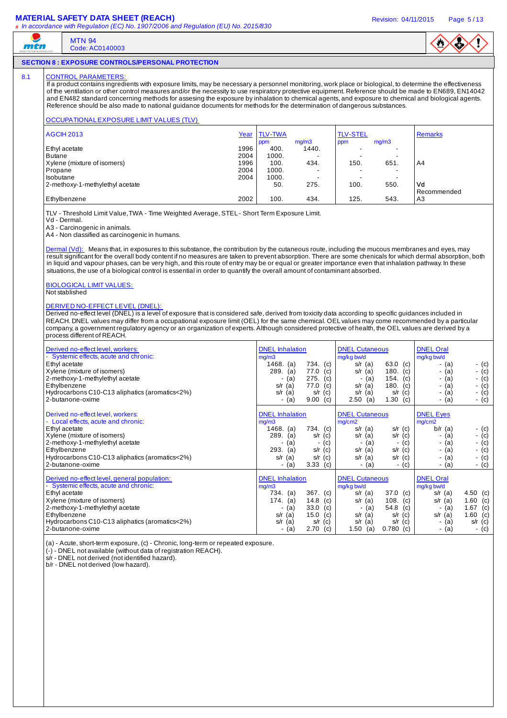#### **MATERIAL SAFETY DATA SHEET (REACH)** And the state of the state of the revision: 04/11/2015 Page 5/13



### **SECTION 8 : EXPOSURE CONTROLS/PERSONAL PROTECTION**

## 8.1 CONTROL PARAMETERS

mtn

MTN 94 Code: AC0140003

If a product contains ingredients with exposure limits, may be necessary a personnel monitoring, work place or biological, to determine the effectiveness of the ventilation or other control measures and/or the necessity to use respiratory protective equipment. Reference should be made to EN689, EN14042 and EN482 standard concerning methods for assesing the exposure by inhalation to chemical agents, and exposure to chemical and biological agents. Reference should be also made to national guidance documents for methods for the determination of dangerous substances.

#### OCCUPATIONAL EXPOSURE LIMIT VALUES (TLV)

| AGCIH 2013                      | Year | <b>TLV-TWA</b> |       | <b>TLV-STEL</b> |       | <b>Remarks</b> |
|---------------------------------|------|----------------|-------|-----------------|-------|----------------|
|                                 |      | ppm            | mg/m3 | ppm             | mg/m3 |                |
| Ethyl acetate                   | 1996 | 400.           | 1440. |                 | -     |                |
| Butane                          | 2004 | 1000.          |       |                 | -     |                |
| Xylene (mixture of isomers)     | 1996 | 100.           | 434.  | 150.            | 651.  | A <sub>4</sub> |
| Propane                         | 2004 | 1000.          |       |                 | -     |                |
| Isobutane                       | 2004 | 1000.          |       |                 | -     |                |
| 2-methoxy-1-methylethyl acetate |      | 50.            | 275.  | 100.            | 550.  | Vd             |
|                                 |      |                |       |                 |       | Recommended    |
| Ethylbenzene                    | 2002 | 100.           | 434.  | 125.            | 543.  | A <sub>3</sub> |

TLV - Threshold Limit Value, TWA - Time Weighted Average, STEL - Short Term Exposure Limit.

Vd - Dermal.

A3 - Carcinogenic in animals.

A4 - Non classified as carcinogenic in humans.

Dermal (Vd): Means that, in exposures to this substance, the contribution by the cutaneous route, including the mucous membranes and eyes, may result significant for the overall body content if no measures are taken to prevent absorption. There are some chenicals for which dermal absorption, both in liquid and vapour phases, can be very high, and this route of entry may be or equal or greater importance even that inhalation pathway. In these situations, the use of a biological control is essential in order to quantify the overall amount of contaminant absorbed.

# BIOLOGICAL LIMIT VALUES:

## Not stablished

#### DERIVED NO-EFFECT LEVEL (DNEL):

Derived no-effect level (DNEL) is a level of exposure that is considered safe, derived from toxicity data according to specific quidances included in REACH. DNEL values may differ from a occupational exposure limit (OEL) for the same chemical. OEL values may come recommended by a particular company, a government regulatory agency or an organization of experts. Although considered protective of health, the OEL values are derived by a process different of REACH.

| Derived no-effect level, workers:<br>- Systemic effects, acute and chronic:<br>Ethyl acetate<br>Xylene (mixture of isomers)<br>2-methoxy-1-methylethyl acetate<br>Ethylbenzene<br>Hydrocarbons C10-C13 aliphatics (aromatics<2%)<br>2-butanone-oxime            | <b>DNEL</b> Inhalation<br>mg/m3<br>1468.<br>734.<br>(c)<br>(a)<br>289.<br>(a)<br>77.0<br>(c)<br>275.<br>(c)<br>(a)<br>٠<br>77.0<br>(c)<br>s/r<br>(a)<br>s/r<br>(a)<br>s/r<br>(c)<br>9.00<br>(c)<br>(a)               | <b>DNEL Cutaneous</b><br>mg/kg bw/d<br>63.0 (c)<br>$s/r$ (a)<br>180.<br>s/r<br>(a)<br>(c)<br>154. $(c)$<br>(a)<br>$\overline{\phantom{a}}$<br>180.<br>$s/r$ (a)<br>(c)<br>s/r<br>(a)<br>(c)<br>s/r<br>1.30<br>2.50<br>(a)<br>(c) | <b>DNEL Oral</b><br>mg/kg bw/d<br>- (c)<br>- (a)<br>- $(c)$<br>- (a)<br>- $(c)$<br>- (a)<br>- $(c)$<br>- (a)<br>- $(c)$<br>- (a)<br>- (c)<br>- (a)                       |
|-----------------------------------------------------------------------------------------------------------------------------------------------------------------------------------------------------------------------------------------------------------------|----------------------------------------------------------------------------------------------------------------------------------------------------------------------------------------------------------------------|----------------------------------------------------------------------------------------------------------------------------------------------------------------------------------------------------------------------------------|--------------------------------------------------------------------------------------------------------------------------------------------------------------------------|
| Derived no-effect level, workers:<br>- Local effects, acute and chronic:<br>Ethyl acetate<br>Xylene (mixture of isomers)<br>2-methoxy-1-methylethyl acetate<br>Ethylbenzene<br>Hydrocarbons C10-C13 aliphatics (aromatics<2%)<br>2-butanone-oxime               | <b>DNEL</b> Inhalation<br>mg/m3<br>1468.<br>734.<br>(a)<br>(c)<br>289.<br>(a)<br>s/r<br>(c)<br>(c)<br>(a)<br>$\blacksquare$<br>۰<br>293.<br>s/r<br>(c)<br>(a)<br>(a)<br>s/r<br>s/r<br>(c)<br>3.33<br>(c)<br>(a)<br>٠ | <b>DNEL Cutaneous</b><br>mg/cm2<br>$s/r$ (a)<br>$s/r$ (c)<br>s/r<br>$s/r$ (c)<br>(a)<br>(c)<br>(a)<br>٠<br>$s/r$ (c)<br>$s/r$ (a)<br>$s/r$ (a)<br>$s/r$ (c)<br>- (a)<br>- (c)                                                    | <b>DNEL Eyes</b><br>mg/cm2<br>$b/r$ (a)<br>$-$ (c)<br>- (c)<br>- (a)<br>- $(c)$<br>- (a)<br>- $(c)$<br>- (a)<br>$-$ (c)<br>- (a)<br>$-$ (c)<br>- (a)                     |
| Derived no-effect level, general population:<br>- Systemic effects, acute and chronic:<br>Ethyl acetate<br>Xylene (mixture of isomers)<br>2-methoxy-1-methylethyl acetate<br>Ethylbenzene<br>Hydrocarbons C10-C13 aliphatics (aromatics<2%)<br>2-butanone-oxime | <b>DNEL</b> Inhalation<br>mg/m3<br>$367.$ (c)<br>734. (a)<br>14.8<br>174.<br>(a)<br>(c)<br>33.0<br>(c)<br>(a)<br>15.0<br>(c)<br>s/r<br>(a)<br>s/r<br>(a)<br>(c)<br>s/r<br>2.70<br>(c)<br>(a)                         | <b>DNEL Cutaneous</b><br>mg/kg bw/d<br>37.0 (c)<br>$s/r$ (a)<br>108.<br>$s/r$ (a)<br>(c)<br>54.8<br>(c)<br>(a)<br>$\overline{\phantom{a}}$<br>$s/r$ (a)<br>$s/r$ (c)<br>$s/r$ (a)<br>$s/r$ (c)<br>1.50<br>$0.780$ (c)<br>(a)     | <b>DNEL Oral</b><br>mg/kg bw/d<br>4.50 (c)<br>$s/r$ (a)<br>1.60 (c)<br>$s/r$ (a)<br>1.67 (c)<br>- (a)<br>$s/r$ (a)<br>1.60 (c)<br>$s/r$ (c)<br>- (a)<br>$-$ (c)<br>- (a) |

(a) - Acute, short-term exposure, (c) - Chronic, long-term or repeated exposure.

(-) - DNEL not available (without data of registration REACH).

s/r - DNEL not derived (not identified hazard).

b/r - DNEL not derived (low hazard).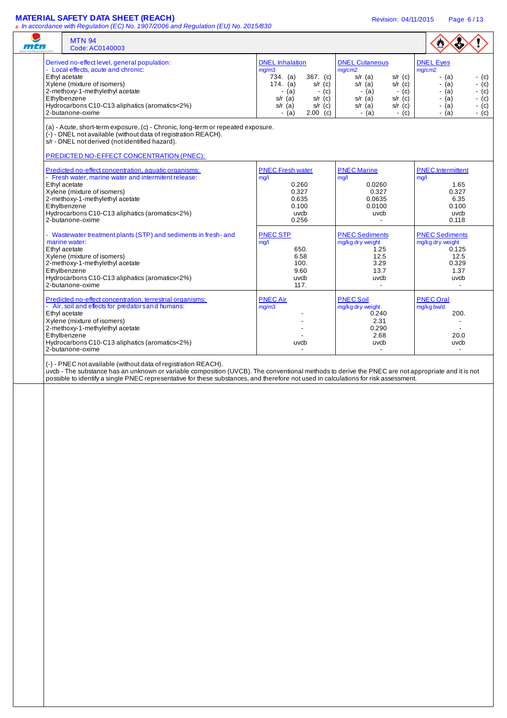## **MATERIAL SAFETY DATA SHEET (REACH)** Revision: 04/11/2015 Page 6 / 13

| <i>iii 41</i> | <b>MTN 94</b><br>Code: AC0140003                                                                                                                                                                                                                                                                                                                           |                                                                                                                                                                                     |                                                                                                                                                                                   | $\bullet$                                                                                                                                               |
|---------------|------------------------------------------------------------------------------------------------------------------------------------------------------------------------------------------------------------------------------------------------------------------------------------------------------------------------------------------------------------|-------------------------------------------------------------------------------------------------------------------------------------------------------------------------------------|-----------------------------------------------------------------------------------------------------------------------------------------------------------------------------------|---------------------------------------------------------------------------------------------------------------------------------------------------------|
|               | Derived no-effect level, general population:<br>- Local effects, acute and chronic:<br>Ethyl acetate<br>Xylene (mixture of isomers)<br>2-methoxy-1-methylethyl acetate<br>Ethylbenzene<br>Hydrocarbons C10-C13 aliphatics (aromatics<2%)<br>2-butanone-oxime                                                                                               | <b>DNEL</b> Inhalation<br>mg/m3<br>734. (a)<br>367. (c)<br>$174.$ (a)<br>$s/r$ (c)<br>$-$ (a)<br>- (c)<br>$s/r$ (a)<br>$s/r$ (c)<br>$s/r$ (c)<br>s/r $(a)$<br>$-$ (a)<br>$2.00$ (c) | <b>DNEL Cutaneous</b><br>mg/cm2<br>$s/r$ (a)<br>$s/r$ (c)<br>$s/r$ (a)<br>$s/r$ (c)<br>$-$ (a)<br>- (c)<br>$s/r$ (a)<br>$s/r$ (c)<br>$s/r$ (a)<br>$s/r$ (c)<br>$-$ (a)<br>$-$ (c) | <b>DNEL Eyes</b><br>mg/cm2<br>$-$ (c)<br>- (a)<br>- (a)<br>- $(c)$<br>$-$ (c)<br>- (a)<br>$-$ (c)<br>$-$ (a)<br>$-(c)$<br>$-$ (a)<br>$-$ (c)<br>$-$ (a) |
|               | (a) - Acute, short-term exposure, (c) - Chronic, long-term or repeated exposure.<br>(-) - DNEL not available (without data of registration REACH).<br>s/r - DNEL not derived (not identified hazard).                                                                                                                                                      |                                                                                                                                                                                     |                                                                                                                                                                                   |                                                                                                                                                         |
|               | PREDICTED NO-EFFECT CONCENTRATION (PNEC):<br>Predicted no-effect concentration, aquatic organisms:<br>- Fresh water, marine water and intermitent release:<br>Ethyl acetate<br>Xylene (mixture of isomers)<br>2-methoxy-1-methylethyl acetate<br>Ethylbenzene<br>Hydrocarbons C10-C13 aliphatics (aromatics<2%)<br>2-butanone-oxime                        | <b>PNEC Fresh water</b><br>mg/l<br>0.260<br>0.327<br>0.635<br>0.100<br>uvcb<br>0.256                                                                                                | <b>PNEC Marine</b><br>mg/l<br>0.0260<br>0.327<br>0.0635<br>0.0100<br>uvcb<br>$\blacksquare$                                                                                       | <b>PNEC</b> Intermittent<br>mg/1<br>1.65<br>0.327<br>6.35<br>0.100<br>uvcb<br>0.118                                                                     |
|               | - Wastewater treatment plants (STP) and sediments in fresh- and<br>marine water:<br>Ethyl acetate<br>Xylene (mixture of isomers)<br>2-methoxy-1-methylethyl acetate<br>Ethylbenzene<br>Hydrocarbons C10-C13 aliphatics (aromatics<2%)<br>2-butanone-oxime                                                                                                  | <b>PNEC STP</b><br>mg/l<br>650.<br>6.58<br>100.<br>9.60<br>uvcb<br>117.                                                                                                             | <b>PNEC Sediments</b><br>mg/kg dry weight<br>1.25<br>12.5<br>3.29<br>13.7<br>uvcb<br>$\blacksquare$                                                                               | <b>PNEC Sediments</b><br>mg/kg dry weight<br>0.125<br>12.5<br>0.329<br>1.37<br>uvcb<br>$\blacksquare$                                                   |
|               | Predicted no-effect concentration, terrestrial organisms:<br>- Air, soil and effects for predator s and humans:<br>Ethyl acetate<br>Xylene (mixture of isomers)<br>2-methoxy-1-methylethyl acetate<br>Ethylbenzene<br>Hydrocarbons C10-C13 aliphatics (aromatics<2%)<br>2-butanone-oxime                                                                   | <b>PNEC Air</b><br>mg/m3<br>uvcb                                                                                                                                                    | <b>PNEC Soil</b><br>mg/kg dry weight<br>0.240<br>2.31<br>0.290<br>2.68<br>uvcb<br>$\overline{\phantom{a}}$                                                                        | <b>PNEC Oral</b><br>mg/kg bw/d<br>200.<br>$\blacksquare$<br>$\blacksquare$<br>20.0<br>uvcb<br>$\overline{\phantom{a}}$                                  |
|               | (-) - PNEC not available (without data of registration REACH).<br>uvcb - The substance has an unknown or variable composition (UVCB). The conventional methods to derive the PNEC are not appropriate and it is not<br>possible to identify a single PNEC representative for these substances, and therefore not used in calculations for risk assessment. |                                                                                                                                                                                     |                                                                                                                                                                                   |                                                                                                                                                         |
|               |                                                                                                                                                                                                                                                                                                                                                            |                                                                                                                                                                                     |                                                                                                                                                                                   |                                                                                                                                                         |
|               |                                                                                                                                                                                                                                                                                                                                                            |                                                                                                                                                                                     |                                                                                                                                                                                   |                                                                                                                                                         |
|               |                                                                                                                                                                                                                                                                                                                                                            |                                                                                                                                                                                     |                                                                                                                                                                                   |                                                                                                                                                         |
|               |                                                                                                                                                                                                                                                                                                                                                            |                                                                                                                                                                                     |                                                                                                                                                                                   |                                                                                                                                                         |
|               |                                                                                                                                                                                                                                                                                                                                                            |                                                                                                                                                                                     |                                                                                                                                                                                   |                                                                                                                                                         |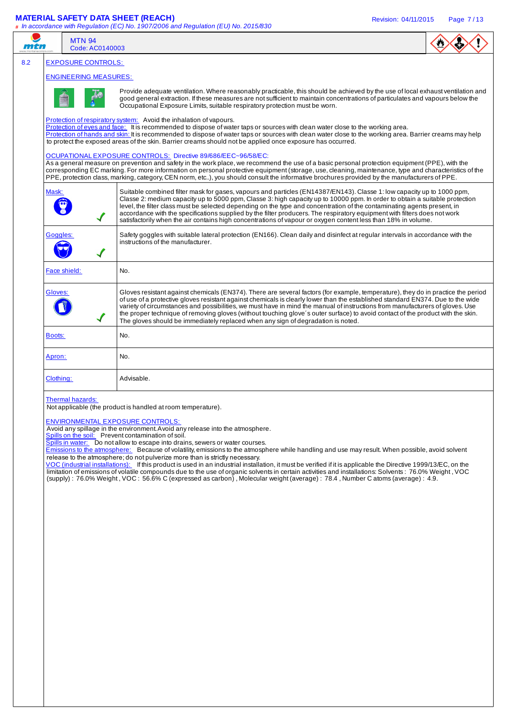| mtn           | <b>MTN 94</b><br>Code: AC0140003 |                                                                                                                                                                                                                                                                                                                                                                                                                                                                                                                                                                                                                                                                                                                                                                                                                                                                                                                                                                                                                                |  |
|---------------|----------------------------------|--------------------------------------------------------------------------------------------------------------------------------------------------------------------------------------------------------------------------------------------------------------------------------------------------------------------------------------------------------------------------------------------------------------------------------------------------------------------------------------------------------------------------------------------------------------------------------------------------------------------------------------------------------------------------------------------------------------------------------------------------------------------------------------------------------------------------------------------------------------------------------------------------------------------------------------------------------------------------------------------------------------------------------|--|
|               |                                  |                                                                                                                                                                                                                                                                                                                                                                                                                                                                                                                                                                                                                                                                                                                                                                                                                                                                                                                                                                                                                                |  |
|               | <b>EXPOSURE CONTROLS:</b>        |                                                                                                                                                                                                                                                                                                                                                                                                                                                                                                                                                                                                                                                                                                                                                                                                                                                                                                                                                                                                                                |  |
|               | <b>ENGINEERING MEASURES:</b>     |                                                                                                                                                                                                                                                                                                                                                                                                                                                                                                                                                                                                                                                                                                                                                                                                                                                                                                                                                                                                                                |  |
|               |                                  | Provide adequate ventilation. Where reasonably practicable, this should be achieved by the use of local exhaust ventilation and<br>good general extraction. If these measures are not sufficient to maintain concentrations of particulates and vapours below the<br>Occupational Exposure Limits, suitable respiratory protection must be worn.                                                                                                                                                                                                                                                                                                                                                                                                                                                                                                                                                                                                                                                                               |  |
|               |                                  | Protection of respiratory system: Avoid the inhalation of vapours.<br>Protection of eyes and face: It is recommended to dispose of water taps or sources with clean water close to the working area.                                                                                                                                                                                                                                                                                                                                                                                                                                                                                                                                                                                                                                                                                                                                                                                                                           |  |
|               |                                  | Protection of hands and skin: It is recommended to dispose of water taps or sources with clean water close to the working area. Barrier creams may help<br>to protect the exposed areas of the skin. Barrier creams should not be applied once exposure has occurred.                                                                                                                                                                                                                                                                                                                                                                                                                                                                                                                                                                                                                                                                                                                                                          |  |
|               |                                  | OCUPATIONAL EXPOSURE CONTROLS: Directive 89/686/EEC~96/58/EC:<br>As a general measure on prevention and safety in the work place, we recommend the use of a basic personal protection equipment (PPE), with the<br>corresponding EC marking. For more information on personal protective equipment (storage, use, cleaning, maintenance, type and characteristics of the<br>PPE, protection class, marking, category, CEN norm, etc), you should consult the informative brochures provided by the manufacturers of PPE.                                                                                                                                                                                                                                                                                                                                                                                                                                                                                                       |  |
| Mask:         |                                  | Suitable combined filter mask for gases, vapours and particles (EN14387/EN143). Classe 1: low capacity up to 1000 ppm,<br>Classe 2: medium capacity up to 5000 ppm, Classe 3: high capacity up to 10000 ppm. In order to obtain a suitable protection<br>level, the filter class must be selected depending on the type and concentration of the contaminating agents present, in<br>accordance with the specifications supplied by the filter producers. The respiratory equipment with filters does not work<br>satisfactorily when the air contains high concentrations of vapour or oxygen content less than 18% in volume.                                                                                                                                                                                                                                                                                                                                                                                                |  |
| Goggles:      |                                  | Safety goggles with suitable lateral protection (EN166). Clean daily and disinfect at regular intervals in accordance with the<br>instructions of the manufacturer.                                                                                                                                                                                                                                                                                                                                                                                                                                                                                                                                                                                                                                                                                                                                                                                                                                                            |  |
|               | Face shield:                     | No.                                                                                                                                                                                                                                                                                                                                                                                                                                                                                                                                                                                                                                                                                                                                                                                                                                                                                                                                                                                                                            |  |
| Gloves:       |                                  | Gloves resistant against chemicals (EN374). There are several factors (for example, temperature), they do in practice the period<br>of use of a protective gloves resistant against chemicals is clearly lower than the established standard EN374. Due to the wide<br>variety of circumstances and possibilities, we must have in mind the manual of instructions from manufacturers of gloves. Use<br>the proper technique of removing gloves (without touching glove's outer surface) to avoid contact of the product with the skin.<br>The gloves should be immediately replaced when any sign of degradation is noted.                                                                                                                                                                                                                                                                                                                                                                                                    |  |
| <b>Boots:</b> |                                  | No.                                                                                                                                                                                                                                                                                                                                                                                                                                                                                                                                                                                                                                                                                                                                                                                                                                                                                                                                                                                                                            |  |
| Apron:        |                                  | No.                                                                                                                                                                                                                                                                                                                                                                                                                                                                                                                                                                                                                                                                                                                                                                                                                                                                                                                                                                                                                            |  |
| Clothing:     |                                  | Advisable.                                                                                                                                                                                                                                                                                                                                                                                                                                                                                                                                                                                                                                                                                                                                                                                                                                                                                                                                                                                                                     |  |
|               | Thermal hazards:                 | Not applicable (the product is handled at room temperature).<br><b>ENVIRONMENTAL EXPOSURE CONTROLS:</b><br>Avoid any spillage in the environment. Avoid any release into the atmosphere.<br>Spills on the soil: Prevent contamination of soil.<br>Spills in water: Do not allow to escape into drains, sewers or water courses.<br>Emissions to the atmosphere: Because of volatility, emissions to the atmosphere while handling and use may result. When possible, avoid solvent<br>release to the atmosphere; do not pulverize more than is strictly necessary.<br>VOC (industrial installations): If this product is used in an industrial installation, it must be verified if it is applicable the Directive 1999/13/EC, on the<br>limitation of emissions of volatile compounds due to the use of organic solvents in certain activities and installations: Solvents: 76.0% Weight, VOC<br>(supply): 76.0% Weight, VOC: 56.6% C (expressed as carbon), Molecular weight (average): 78.4, Number C atoms (average): 4.9. |  |
|               |                                  |                                                                                                                                                                                                                                                                                                                                                                                                                                                                                                                                                                                                                                                                                                                                                                                                                                                                                                                                                                                                                                |  |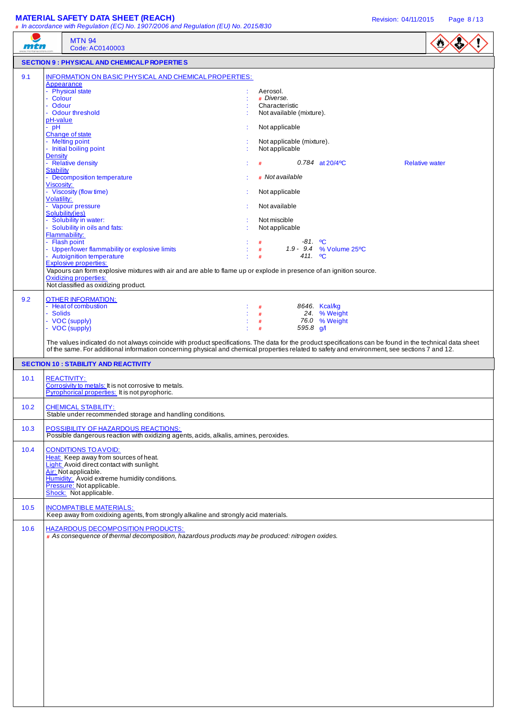# **MATERIAL SAFETY DATA SHEET (REACH) Revision: 04/11/2015** Page 8/13

| mtn    | # In accordance with Regulation (EC) No. 1907/2006 and Regulation (EU) No. 2015/830<br><b>MTN 94</b><br>Code: AC0140003                                                                                                                                                                                                                                                                                                                                                                                                                                                                                                                                                                                                                                                                   |                                                                                                                                                                                                                                                                                                                                                                                                 | $\bullet$             |
|--------|-------------------------------------------------------------------------------------------------------------------------------------------------------------------------------------------------------------------------------------------------------------------------------------------------------------------------------------------------------------------------------------------------------------------------------------------------------------------------------------------------------------------------------------------------------------------------------------------------------------------------------------------------------------------------------------------------------------------------------------------------------------------------------------------|-------------------------------------------------------------------------------------------------------------------------------------------------------------------------------------------------------------------------------------------------------------------------------------------------------------------------------------------------------------------------------------------------|-----------------------|
|        | <b>SECTION 9 : PHYSICAL AND CHEMICALP ROPERTIES</b>                                                                                                                                                                                                                                                                                                                                                                                                                                                                                                                                                                                                                                                                                                                                       |                                                                                                                                                                                                                                                                                                                                                                                                 |                       |
| 9.1    | INFORMATION ON BASIC PHYSICAL AND CHEMICAL PROPERTIES:<br>Appearance<br>- Physical state<br>- Colour<br>- Odour<br>- Odour threshold<br>pH-value<br>$-$ pH<br>Change of state<br>- Melting point<br>- Initial boiling point<br><b>Density</b><br>- Relative density<br><b>Stability</b><br>- Decomposition temperature<br>Viscosity:<br>- Viscosity (flow time)<br>Volatility:<br>- Vapour pressure<br>Solubility(ies)<br>- Solubility in water:<br>Solubility in oils and fats:<br>Flammability:<br>- Flash point<br>- Upper/lower flammability or explosive limits<br>- Autoignition temperature<br><b>Explosive properties:</b><br>Vapours can form explosive mixtures with air and are able to flame up or explode in presence of an ignition source.<br><b>Oxidizing properties:</b> | Aerosol.<br># Diverse.<br>Characteristic<br>Not available (mixture).<br>Not applicable<br>Not applicable (mixture).<br>Not applicable<br>0.784 at $20/4$ <sup>o</sup> C<br>#<br># Not available<br>Not applicable<br>Not available<br>Not miscible<br>Not applicable<br>$-81.$ °C<br>#<br>1.9 - 9.4 % Volume 25°C<br>#<br>411. <b>°C</b><br>#                                                   | <b>Relative water</b> |
| 9.2    | Not classified as oxidizing product.<br><b>OTHER INFORMATION:</b><br>- Heat of combustion<br><b>Solids</b><br>- VOC (supply)<br>- VOC (supply)                                                                                                                                                                                                                                                                                                                                                                                                                                                                                                                                                                                                                                            | 8646. Kcal/kg<br>#<br>24. % Weight<br>#<br>76.0 % Weight<br>#<br>595.8 $q/l$<br>#<br>The values indicated do not always coincide with product specifications. The data for the product specifications can be found in the technical data sheet<br>of the same. For additional information concerning physical and chemical properties related to safety and environment, see sections 7 and 12. |                       |
|        | <b>SECTION 10: STABILITY AND REACTIVITY</b>                                                                                                                                                                                                                                                                                                                                                                                                                                                                                                                                                                                                                                                                                                                                               |                                                                                                                                                                                                                                                                                                                                                                                                 |                       |
| 10.1   | <b>REACTIVITY:</b><br>Corrosivity to metals: It is not corrosive to metals.<br>Pyrophorical properties: It is not pyrophoric.                                                                                                                                                                                                                                                                                                                                                                                                                                                                                                                                                                                                                                                             |                                                                                                                                                                                                                                                                                                                                                                                                 |                       |
| $10.2$ | <b>CHEMICAL STABILITY:</b><br>Stable under recommended storage and handling conditions.                                                                                                                                                                                                                                                                                                                                                                                                                                                                                                                                                                                                                                                                                                   |                                                                                                                                                                                                                                                                                                                                                                                                 |                       |
| 10.3   | POSSIBILITY OF HAZARDOUS REACTIONS:<br>Possible dangerous reaction with oxidizing agents, acids, alkalis, amines, peroxides.                                                                                                                                                                                                                                                                                                                                                                                                                                                                                                                                                                                                                                                              |                                                                                                                                                                                                                                                                                                                                                                                                 |                       |
| 10.4   | <b>CONDITIONS TO AVOID:</b><br>Heat: Keep away from sources of heat.<br>Light: Avoid direct contact with sunlight.<br>Air: Not applicable.<br>Humidity: Avoid extreme humidity conditions.<br>Pressure: Not applicable.<br>Shock: Not applicable.                                                                                                                                                                                                                                                                                                                                                                                                                                                                                                                                         |                                                                                                                                                                                                                                                                                                                                                                                                 |                       |
| 10.5   | <b>INCOMPATIBLE MATERIALS:</b><br>Keep away from oxidixing agents, from strongly alkaline and strongly acid materials.                                                                                                                                                                                                                                                                                                                                                                                                                                                                                                                                                                                                                                                                    |                                                                                                                                                                                                                                                                                                                                                                                                 |                       |
| 10.6   | <b>HAZARDOUS DECOMPOSITION PRODUCTS:</b><br># As consequence of thermal decomposition, hazardous products may be produced: nitrogen oxides.                                                                                                                                                                                                                                                                                                                                                                                                                                                                                                                                                                                                                                               |                                                                                                                                                                                                                                                                                                                                                                                                 |                       |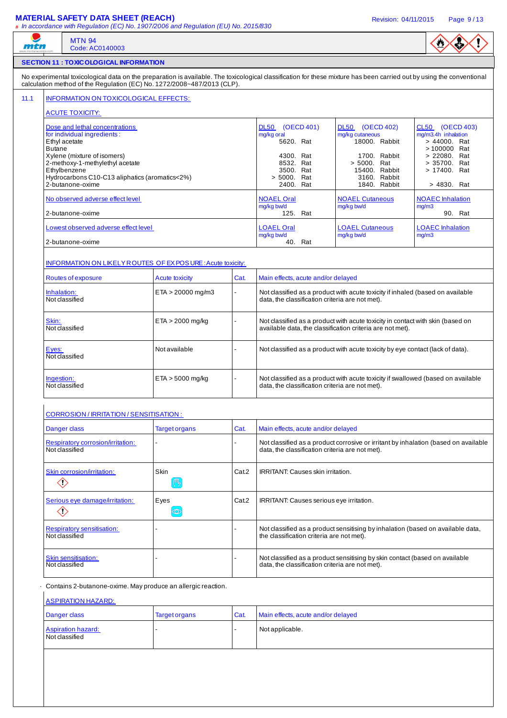### **MATERIAL SAFETY DATA SHEET (REACH)** Revision: 04/11/2015 Page 9 / 13

|               | <b>MTN 94</b><br>Code: AC0140003                                                                                                                                                                                                                 |                        |       |                                                                                                                                             |                                                                                                                                               |                                                                                                                                       |  |
|---------------|--------------------------------------------------------------------------------------------------------------------------------------------------------------------------------------------------------------------------------------------------|------------------------|-------|---------------------------------------------------------------------------------------------------------------------------------------------|-----------------------------------------------------------------------------------------------------------------------------------------------|---------------------------------------------------------------------------------------------------------------------------------------|--|
|               | <b>SECTION 11 : TOXICOLOGICAL INFORMATION</b>                                                                                                                                                                                                    |                        |       |                                                                                                                                             |                                                                                                                                               |                                                                                                                                       |  |
|               | No experimental toxicological data on the preparation is available. The toxicological classification for these mixture has been carried out by using the conventional<br>calculation method of the Regulation (EC) No. 1272/2008~487/2013 (CLP). |                        |       |                                                                                                                                             |                                                                                                                                               |                                                                                                                                       |  |
|               | INFORMATION ON TOXICOLOGICAL EFFECTS:                                                                                                                                                                                                            |                        |       |                                                                                                                                             |                                                                                                                                               |                                                                                                                                       |  |
|               | <b>ACUTE TOXICITY:</b>                                                                                                                                                                                                                           |                        |       |                                                                                                                                             |                                                                                                                                               |                                                                                                                                       |  |
| <b>Butane</b> | Dose and lethal concentrations<br>for individual ingredients:<br>Ethyl acetate<br>Xylene (mixture of isomers)<br>2-methoxy-1-methylethyl acetate<br>Ethylbenzene<br>Hydrocarbons C10-C13 aliphatics (aromatics<2%)<br>2-butanone-oxime           |                        |       | <b>DL50</b><br>(OECD 401)<br>mg/kg oral<br>5620. Rat<br>4300. Rat<br>8532. Rat<br>3500. Rat<br>> 5000. Rat<br>2400. Rat                     | <b>DL50</b><br>(OECD 402)<br>mg/kg cutaneous<br>18000. Rabbit<br>1700. Rabbit<br>> 5000. Rat<br>15400. Rabbit<br>3160. Rabbit<br>1840. Rabbit | CL50 (OECD 403)<br>mg/m3.4h inhalation<br>> 44000. Rat<br>> 100000 Rat<br>> 22080. Rat<br>> 35700. Rat<br>> 17400. Rat<br>> 4830. Rat |  |
|               | No observed adverse effect level<br>2-butanone-oxime                                                                                                                                                                                             |                        |       | <b>NOAEL Oral</b><br>mg/kg bw/d<br>125. Rat                                                                                                 | <b>NOAEL Cutaneous</b><br>mg/kg bw/d                                                                                                          | <b>NOAEC</b> Inhalation<br>mg/m3<br>90. Rat                                                                                           |  |
|               | Lowest observed adverse effect level<br>2-butanone-oxime                                                                                                                                                                                         |                        |       | <b>LOAEL Oral</b><br><b>LOAEL Cutaneous</b><br><b>LOAEC</b> Inhalation<br>mg/kg bw/d<br>mg/kg bw/d<br>mq/m3<br>40. Rat                      |                                                                                                                                               |                                                                                                                                       |  |
|               | INFORMATION ON LIKELY ROUTES OF EX POSURE: Acute toxicity:                                                                                                                                                                                       |                        |       |                                                                                                                                             |                                                                                                                                               |                                                                                                                                       |  |
|               | Routes of exposure                                                                                                                                                                                                                               | <b>Acute toxicity</b>  | Cat.  | Main effects, acute and/or delayed                                                                                                          |                                                                                                                                               |                                                                                                                                       |  |
| Inhalation:   | Not classified                                                                                                                                                                                                                                   | $ETA > 20000$ mg/m3    |       | Not classified as a product with acute toxicity if inhaled (based on available<br>data, the classification criteria are not met).           |                                                                                                                                               |                                                                                                                                       |  |
| Skin:         | Not classified                                                                                                                                                                                                                                   | $ETA > 2000$ mg/kg     |       | Not classified as a product with acute toxicity in contact with skin (based on<br>available data, the classification criteria are not met). |                                                                                                                                               |                                                                                                                                       |  |
| Eyes:         | Not classified                                                                                                                                                                                                                                   | Not available          |       | Not classified as a product with acute toxicity by eye contact (lack of data).                                                              |                                                                                                                                               |                                                                                                                                       |  |
| Ingestion:    | Not classified                                                                                                                                                                                                                                   | $ETA > 5000$ mg/kg     |       | Not classified as a product with acute toxicity if swallowed (based on available<br>data, the classification criteria are not met).         |                                                                                                                                               |                                                                                                                                       |  |
|               | <b>CORROSION / IRRITATION / SENSITISATION:</b>                                                                                                                                                                                                   |                        |       |                                                                                                                                             |                                                                                                                                               |                                                                                                                                       |  |
|               | Danger class                                                                                                                                                                                                                                     | <b>Target organs</b>   | Cat.  | Main effects, acute and/or delayed                                                                                                          |                                                                                                                                               |                                                                                                                                       |  |
|               | Respiratory corrosion/irritation:<br>Not classified                                                                                                                                                                                              |                        |       | data, the classification criteria are not met).                                                                                             | Not classified as a product corrosive or irritant by inhalation (based on available                                                           |                                                                                                                                       |  |
|               | Skin corrosion/irritation:<br>$\diamondsuit$                                                                                                                                                                                                     | <b>Skin</b><br>四       | Cat.2 | <b>IRRITANT: Causes skin irritation.</b>                                                                                                    |                                                                                                                                               |                                                                                                                                       |  |
|               | Serious eye damage/irritation:<br>$\diamondsuit$                                                                                                                                                                                                 | Eyes<br>$\circledcirc$ | Cat.2 | IRRITANT: Causes serious eye irritation.                                                                                                    |                                                                                                                                               |                                                                                                                                       |  |
|               | <b>Respiratory sensitisation:</b><br>Not classified                                                                                                                                                                                              |                        |       | the classification criteria are not met).                                                                                                   | Not classified as a product sensitising by inhalation (based on available data,                                                               |                                                                                                                                       |  |
|               | Skin sensitisation:<br>Not classified                                                                                                                                                                                                            |                        |       | data, the classification criteria are not met).                                                                                             | Not classified as a product sensitising by skin contact (based on available                                                                   |                                                                                                                                       |  |
|               | Contains 2-butanone-oxime. May produce an allergic reaction.<br><b>ASPIRATION HAZARD:</b>                                                                                                                                                        |                        |       |                                                                                                                                             |                                                                                                                                               |                                                                                                                                       |  |
|               | Danger class                                                                                                                                                                                                                                     | <b>Target organs</b>   | Cat.  | Main effects, acute and/or delayed                                                                                                          |                                                                                                                                               |                                                                                                                                       |  |
|               | <b>Aspiration hazard:</b><br>Not classified                                                                                                                                                                                                      |                        |       | Not applicable.                                                                                                                             |                                                                                                                                               |                                                                                                                                       |  |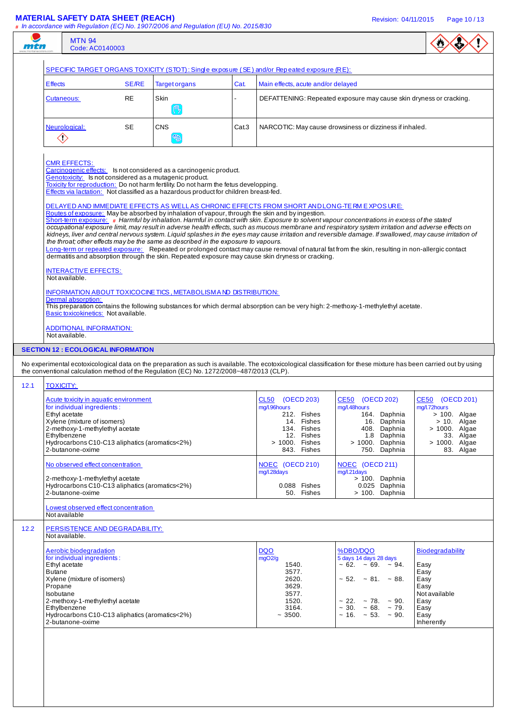|                                                                                                                                                                      |              |                                                                                                                                                                                                                                                                                                                                                                                                                                                                         |       | SPECIFIC TARGET ORGANS TOXICITY (STOT): Single exposure (SE) and/or Repeated exposure (RE):                                                                                                          |                                                                                                                                                                                                                                                                                                                                                                                                                                                                                                                                                                                                                                                                                                                                                                                                                                                           |                                                                                                |
|----------------------------------------------------------------------------------------------------------------------------------------------------------------------|--------------|-------------------------------------------------------------------------------------------------------------------------------------------------------------------------------------------------------------------------------------------------------------------------------------------------------------------------------------------------------------------------------------------------------------------------------------------------------------------------|-------|------------------------------------------------------------------------------------------------------------------------------------------------------------------------------------------------------|-----------------------------------------------------------------------------------------------------------------------------------------------------------------------------------------------------------------------------------------------------------------------------------------------------------------------------------------------------------------------------------------------------------------------------------------------------------------------------------------------------------------------------------------------------------------------------------------------------------------------------------------------------------------------------------------------------------------------------------------------------------------------------------------------------------------------------------------------------------|------------------------------------------------------------------------------------------------|
| <b>Effects</b>                                                                                                                                                       | <b>SE/RE</b> | <b>Target organs</b>                                                                                                                                                                                                                                                                                                                                                                                                                                                    | Cat.  | Main effects, acute and/or delayed                                                                                                                                                                   |                                                                                                                                                                                                                                                                                                                                                                                                                                                                                                                                                                                                                                                                                                                                                                                                                                                           |                                                                                                |
| Cutaneous:                                                                                                                                                           | <b>RE</b>    | <b>Skin</b><br>( <sup>m</sup> <sub>2</sub>                                                                                                                                                                                                                                                                                                                                                                                                                              |       |                                                                                                                                                                                                      | DEFATTENING: Repeated exposure may cause skin dryness or cracking.                                                                                                                                                                                                                                                                                                                                                                                                                                                                                                                                                                                                                                                                                                                                                                                        |                                                                                                |
| Neurological:<br>$\diamondsuit$                                                                                                                                      | SE           | <b>CNS</b><br>E                                                                                                                                                                                                                                                                                                                                                                                                                                                         | Cat.3 |                                                                                                                                                                                                      | NARCOTIC: May cause drowsiness or dizziness if inhaled.                                                                                                                                                                                                                                                                                                                                                                                                                                                                                                                                                                                                                                                                                                                                                                                                   |                                                                                                |
| <b>CMR EFFECTS:</b><br><b>INTERACTIVE EFFECTS:</b><br>Not available.<br>Dermal absorption:<br>Basic toxicokinetics: Not available.<br><b>ADDITIONAL INFORMATION:</b> |              | Carcinogenic effects: Is not considered as a carcinogenic product.<br>Genotoxicity: Is not considered as a mutagenic product.<br>Toxicity for reproduction: Do not harm fertility. Do not harm the fetus developping.<br>Effects via lactation: Not classified as a hazardous product for children breast-fed.<br>the throat; other effects may be the same as described in the exposure to vapours.<br>INFORMATION ABOUT TOXICOCINE TICS, METABOLISM AND DISTRIBUTION: |       | Routes of exposure: May be absorbed by inhalation of vapour, through the skin and by ingestion.<br>dermatitis and absorption through the skin. Repeated exposure may cause skin dryness or cracking. | DELAYED AND IMMEDIATE EFFECTS AS WELL AS CHRONIC EFFECTS FROM SHORT ANDLONG-TE RM E XPOS URE:<br>Short-term exposure: # Harmful by inhalation. Harmful in contact with skin. Exposure to solvent vapour concentrations in excess of the stated<br>occupational exposure limit, may result in adverse health effects, such as mucous membrane and respiratory system irritation and adverse effects on<br>kidneys, liver and central nervous system. Liquid splashes in the eyes may cause irritation and reversible damage. If swallowed, may cause irritation of<br>Long-term or repeated exposure: Repeated or prolonged contact may cause removal of natural fat from the skin, resulting in non-allergic contact<br>This preparation contains the following substances for which dermal absorption can be very high: 2-methoxy-1-methylethyl acetate. |                                                                                                |
| Not available.                                                                                                                                                       |              |                                                                                                                                                                                                                                                                                                                                                                                                                                                                         |       |                                                                                                                                                                                                      |                                                                                                                                                                                                                                                                                                                                                                                                                                                                                                                                                                                                                                                                                                                                                                                                                                                           |                                                                                                |
| <b>SECTION 12 : ECOLOGICAL INFORMATION</b>                                                                                                                           |              |                                                                                                                                                                                                                                                                                                                                                                                                                                                                         |       |                                                                                                                                                                                                      |                                                                                                                                                                                                                                                                                                                                                                                                                                                                                                                                                                                                                                                                                                                                                                                                                                                           |                                                                                                |
|                                                                                                                                                                      |              |                                                                                                                                                                                                                                                                                                                                                                                                                                                                         |       |                                                                                                                                                                                                      | No experimental ecotoxicological data on the preparation as such is available. The ecotoxicological classification for these mixture has been carried out by using                                                                                                                                                                                                                                                                                                                                                                                                                                                                                                                                                                                                                                                                                        |                                                                                                |
|                                                                                                                                                                      |              | the conventional calculation method of the Regulation (EC) No. 1272/2008~487/2013 (CLP).                                                                                                                                                                                                                                                                                                                                                                                |       |                                                                                                                                                                                                      |                                                                                                                                                                                                                                                                                                                                                                                                                                                                                                                                                                                                                                                                                                                                                                                                                                                           |                                                                                                |
| <b>TOXICITY:</b>                                                                                                                                                     |              |                                                                                                                                                                                                                                                                                                                                                                                                                                                                         |       |                                                                                                                                                                                                      |                                                                                                                                                                                                                                                                                                                                                                                                                                                                                                                                                                                                                                                                                                                                                                                                                                                           |                                                                                                |
| Acute toxicity in aquatic environment                                                                                                                                |              |                                                                                                                                                                                                                                                                                                                                                                                                                                                                         |       | CL50 (OECD 203)                                                                                                                                                                                      | CE50 (OECD 202)                                                                                                                                                                                                                                                                                                                                                                                                                                                                                                                                                                                                                                                                                                                                                                                                                                           | CE50 (OECD 201)                                                                                |
| for individual ingredients:<br>Ethyl acetate                                                                                                                         |              |                                                                                                                                                                                                                                                                                                                                                                                                                                                                         |       | mg/l.96hours<br>212. Fishes                                                                                                                                                                          | mg/l.48hours<br>164. Daphnia                                                                                                                                                                                                                                                                                                                                                                                                                                                                                                                                                                                                                                                                                                                                                                                                                              | mg/l.72hours<br>$> 100$ . Algae                                                                |
|                                                                                                                                                                      |              |                                                                                                                                                                                                                                                                                                                                                                                                                                                                         |       | 14. Fishes<br>134. Fishes                                                                                                                                                                            | 16. Daphnia<br>408. Daphnia                                                                                                                                                                                                                                                                                                                                                                                                                                                                                                                                                                                                                                                                                                                                                                                                                               | $> 10$ . Algae                                                                                 |
| Xylene (mixture of isomers)                                                                                                                                          |              |                                                                                                                                                                                                                                                                                                                                                                                                                                                                         |       |                                                                                                                                                                                                      |                                                                                                                                                                                                                                                                                                                                                                                                                                                                                                                                                                                                                                                                                                                                                                                                                                                           |                                                                                                |
| 2-methoxy-1-methylethyl acetate<br>Ethylbenzene                                                                                                                      |              |                                                                                                                                                                                                                                                                                                                                                                                                                                                                         |       | 12. Fishes                                                                                                                                                                                           | 1.8 Daphnia                                                                                                                                                                                                                                                                                                                                                                                                                                                                                                                                                                                                                                                                                                                                                                                                                                               |                                                                                                |
| Hydrocarbons C10-C13 aliphatics (aromatics<2%)<br>2-butanone-oxime                                                                                                   |              |                                                                                                                                                                                                                                                                                                                                                                                                                                                                         |       | > 1000. Fishes<br>843. Fishes                                                                                                                                                                        | > 1000. Daphnia<br>750. Daphnia                                                                                                                                                                                                                                                                                                                                                                                                                                                                                                                                                                                                                                                                                                                                                                                                                           |                                                                                                |
| No observed effect concentration                                                                                                                                     |              |                                                                                                                                                                                                                                                                                                                                                                                                                                                                         |       | NOEC (OECD 210)<br>mg/l.28days                                                                                                                                                                       | NOEC (OECD 211)<br>mg/l.21days                                                                                                                                                                                                                                                                                                                                                                                                                                                                                                                                                                                                                                                                                                                                                                                                                            |                                                                                                |
| 2-methoxy-1-methylethyl acetate<br>Hydrocarbons C10-C13 aliphatics (aromatics<2%)<br>2-butanone-oxime                                                                |              |                                                                                                                                                                                                                                                                                                                                                                                                                                                                         |       | 0.088 Fishes<br>50. Fishes                                                                                                                                                                           | > 100. Daphnia<br>0.025 Daphnia<br>> 100. Daphnia                                                                                                                                                                                                                                                                                                                                                                                                                                                                                                                                                                                                                                                                                                                                                                                                         |                                                                                                |
| Lowest observed effect concentration<br>Not available                                                                                                                |              |                                                                                                                                                                                                                                                                                                                                                                                                                                                                         |       |                                                                                                                                                                                                      |                                                                                                                                                                                                                                                                                                                                                                                                                                                                                                                                                                                                                                                                                                                                                                                                                                                           |                                                                                                |
| PERSISTENCE AND DEGRADABILITY:<br>Not available.                                                                                                                     |              |                                                                                                                                                                                                                                                                                                                                                                                                                                                                         |       |                                                                                                                                                                                                      |                                                                                                                                                                                                                                                                                                                                                                                                                                                                                                                                                                                                                                                                                                                                                                                                                                                           |                                                                                                |
| Aerobic biodegradation                                                                                                                                               |              |                                                                                                                                                                                                                                                                                                                                                                                                                                                                         |       | <b>DQO</b>                                                                                                                                                                                           | %DBO/DQO                                                                                                                                                                                                                                                                                                                                                                                                                                                                                                                                                                                                                                                                                                                                                                                                                                                  | <b>Biodegradability</b>                                                                        |
| for individual ingredients:                                                                                                                                          |              |                                                                                                                                                                                                                                                                                                                                                                                                                                                                         |       | mgO2/g                                                                                                                                                                                               | 5 days 14 days 28 days                                                                                                                                                                                                                                                                                                                                                                                                                                                                                                                                                                                                                                                                                                                                                                                                                                    |                                                                                                |
| Ethyl acetate<br>Butane                                                                                                                                              |              |                                                                                                                                                                                                                                                                                                                                                                                                                                                                         |       | 1540.<br>3577.                                                                                                                                                                                       | $\sim 62. \sim 69. \sim 94.$                                                                                                                                                                                                                                                                                                                                                                                                                                                                                                                                                                                                                                                                                                                                                                                                                              | Easy<br>Easy                                                                                   |
| Xylene (mixture of isomers)<br>Propane                                                                                                                               |              |                                                                                                                                                                                                                                                                                                                                                                                                                                                                         |       | 2620.<br>3629.                                                                                                                                                                                       | $\sim$ 52. $\sim$ 81. $\sim$ 88.                                                                                                                                                                                                                                                                                                                                                                                                                                                                                                                                                                                                                                                                                                                                                                                                                          | Easy<br>Easy                                                                                   |
| Isobutane                                                                                                                                                            |              |                                                                                                                                                                                                                                                                                                                                                                                                                                                                         |       | 3577.                                                                                                                                                                                                |                                                                                                                                                                                                                                                                                                                                                                                                                                                                                                                                                                                                                                                                                                                                                                                                                                                           | Not available                                                                                  |
| 2-methoxy-1-methylethyl acetate<br>Ethylbenzene<br>Hydrocarbons C10-C13 aliphatics (aromatics<2%)<br>2-butanone-oxime                                                |              |                                                                                                                                                                                                                                                                                                                                                                                                                                                                         |       | 1520.<br>3164.<br>~1500.                                                                                                                                                                             | $\sim$ 22. $\sim$ 78. $\sim$ 90.<br>$\sim$ 30. $\sim$ 68. $\sim$ 79.<br>$\sim$ 16. $\sim$ 53. $\sim$ 90.                                                                                                                                                                                                                                                                                                                                                                                                                                                                                                                                                                                                                                                                                                                                                  | > 1000. Algae<br>33. Algae<br>> 1000. Algae<br>83. Algae<br>Easy<br>Easy<br>Easy<br>Inherently |
|                                                                                                                                                                      |              |                                                                                                                                                                                                                                                                                                                                                                                                                                                                         |       |                                                                                                                                                                                                      |                                                                                                                                                                                                                                                                                                                                                                                                                                                                                                                                                                                                                                                                                                                                                                                                                                                           |                                                                                                |
|                                                                                                                                                                      |              |                                                                                                                                                                                                                                                                                                                                                                                                                                                                         |       |                                                                                                                                                                                                      |                                                                                                                                                                                                                                                                                                                                                                                                                                                                                                                                                                                                                                                                                                                                                                                                                                                           |                                                                                                |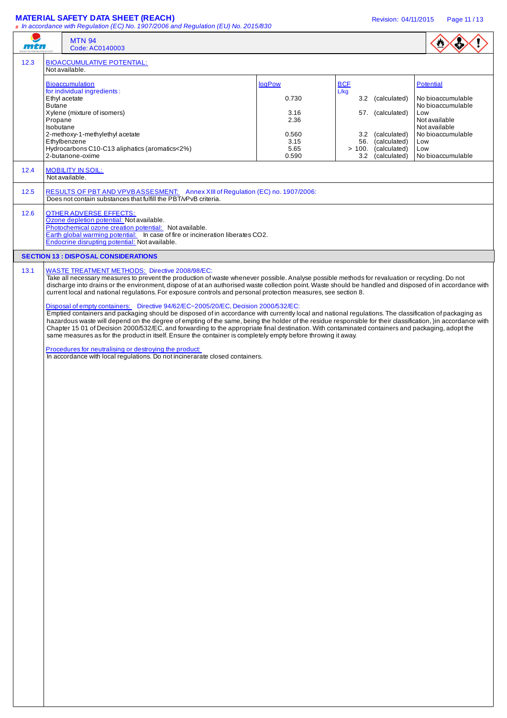#### **MATERIAL SAFETY DATA SHEET (REACH)** Revision: 04/11/2015 Page 11 / 13

**#** In accordance with Regulation (EC) No. 1907/2006 and Regulation (EU) No. 2015/830

|--|

| mtn  |                                                                                                                                                                                                                                                                                                                                             | <b>MTN 94</b><br>Code: AC0140003                                                                                                                                                                                                                                                                                                                                                                                                                                                                                                                                                                                                                                                                                                                                                                                                                                                                                                                                                                                                                                                                                                                                                                                                                                                                               |                                                          |                                                                                                                           |                                                                                                                                                      |  |  |
|------|---------------------------------------------------------------------------------------------------------------------------------------------------------------------------------------------------------------------------------------------------------------------------------------------------------------------------------------------|----------------------------------------------------------------------------------------------------------------------------------------------------------------------------------------------------------------------------------------------------------------------------------------------------------------------------------------------------------------------------------------------------------------------------------------------------------------------------------------------------------------------------------------------------------------------------------------------------------------------------------------------------------------------------------------------------------------------------------------------------------------------------------------------------------------------------------------------------------------------------------------------------------------------------------------------------------------------------------------------------------------------------------------------------------------------------------------------------------------------------------------------------------------------------------------------------------------------------------------------------------------------------------------------------------------|----------------------------------------------------------|---------------------------------------------------------------------------------------------------------------------------|------------------------------------------------------------------------------------------------------------------------------------------------------|--|--|
| 12.3 | <b>BIOACCUMULATIVE POTENTIAL:</b><br>Not available.                                                                                                                                                                                                                                                                                         |                                                                                                                                                                                                                                                                                                                                                                                                                                                                                                                                                                                                                                                                                                                                                                                                                                                                                                                                                                                                                                                                                                                                                                                                                                                                                                                |                                                          |                                                                                                                           |                                                                                                                                                      |  |  |
|      | <b>Butane</b><br>Propane<br>Isobutane                                                                                                                                                                                                                                                                                                       | <b>Bioaccumulation</b><br>for individual ingredients:<br>Ethyl acetate<br>Xylene (mixture of isomers)<br>2-methoxy-1-methylethyl acetate<br>Ethylbenzene<br>Hydrocarbons C10-C13 aliphatics (aromatics<2%)                                                                                                                                                                                                                                                                                                                                                                                                                                                                                                                                                                                                                                                                                                                                                                                                                                                                                                                                                                                                                                                                                                     | logPow<br>0.730<br>3.16<br>2.36<br>0.560<br>3.15<br>5.65 | <b>BCF</b><br>L/kg<br>3.2 (calculated)<br>57. (calculated)<br>3.2 (calculated)<br>56. (calculated)<br>> 100. (calculated) | Potential<br>No bioaccumulable<br>No bioaccumulable<br>Low<br>Not available<br>Not available<br>No bioaccumulable<br>Low<br>Low<br>No bioaccumulable |  |  |
| 12.4 | 2-butanone-oxime<br>0.590<br>3.2 (calculated)<br><b>MOBILITY IN SOIL:</b>                                                                                                                                                                                                                                                                   |                                                                                                                                                                                                                                                                                                                                                                                                                                                                                                                                                                                                                                                                                                                                                                                                                                                                                                                                                                                                                                                                                                                                                                                                                                                                                                                |                                                          |                                                                                                                           |                                                                                                                                                      |  |  |
| 12.5 | Not available.<br>RESULTS OF PBT AND VPVBASSESMENT: Annex XIII of Regulation (EC) no. 1907/2006:                                                                                                                                                                                                                                            |                                                                                                                                                                                                                                                                                                                                                                                                                                                                                                                                                                                                                                                                                                                                                                                                                                                                                                                                                                                                                                                                                                                                                                                                                                                                                                                |                                                          |                                                                                                                           |                                                                                                                                                      |  |  |
| 12.6 | Does not contain substances that fulfill the PBT/vPvB criteria.<br><b>OTHER ADVERSE EFFECTS:</b><br>Ozone depletion potential: Not available.<br>Photochemical ozone creation potential: Not available.<br>Earth global warming potential: In case of fire or incineration liberates CO2.<br>Endocrine disrupting potential: Not available. |                                                                                                                                                                                                                                                                                                                                                                                                                                                                                                                                                                                                                                                                                                                                                                                                                                                                                                                                                                                                                                                                                                                                                                                                                                                                                                                |                                                          |                                                                                                                           |                                                                                                                                                      |  |  |
|      |                                                                                                                                                                                                                                                                                                                                             | <b>SECTION 13 : DISPOSAL CONSIDERATIONS</b>                                                                                                                                                                                                                                                                                                                                                                                                                                                                                                                                                                                                                                                                                                                                                                                                                                                                                                                                                                                                                                                                                                                                                                                                                                                                    |                                                          |                                                                                                                           |                                                                                                                                                      |  |  |
| 13.1 |                                                                                                                                                                                                                                                                                                                                             | WASTE TREATMENT METHODS: Directive 2008/98/EC:<br>Take all necessary measures to prevent the production of waste whenever possible. Analyse possible methods for revaluation or recycling. Do not<br>discharge into drains or the environment, dispose of at an authorised waste collection point. Waste should be handled and disposed of in accordance with<br>current local and national regulations. For exposure controls and personal protection measures, see section 8.<br>Disposal of empty containers: Directive 94/62/EC~2005/20/EC, Decision 2000/532/EC:<br>Emptied containers and packaging should be disposed of in accordance with currently local and national regulations. The classification of packaging as<br>hazardous waste will depend on the degree of empting of the same, being the holder of the residue responsible for their classification, )in accordance with<br>Chapter 15 01 of Decision 2000/532/EC, and forwarding to the appropriate final destination. With contaminated containers and packaging, adopt the<br>same measures as for the product in itself. Ensure the container is completely empty before throwing it away.<br>Procedures for neutralising or destroying the product:<br>In accordance with local regulations. Do not incinerarate closed containers. |                                                          |                                                                                                                           |                                                                                                                                                      |  |  |
|      |                                                                                                                                                                                                                                                                                                                                             |                                                                                                                                                                                                                                                                                                                                                                                                                                                                                                                                                                                                                                                                                                                                                                                                                                                                                                                                                                                                                                                                                                                                                                                                                                                                                                                |                                                          |                                                                                                                           |                                                                                                                                                      |  |  |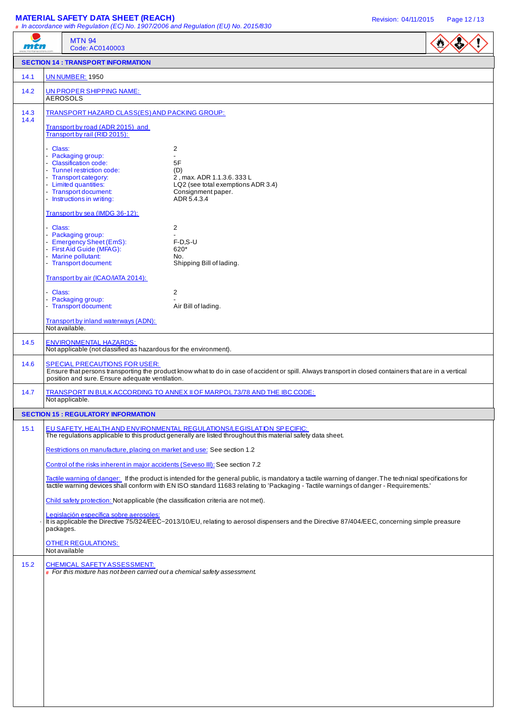# **MATERIAL SAFETY DATA SHEET (REACH) Revision: 04/11/2015** Page 12/13

|              | <b>MALLINAL VALLIT DAIA VIILLI (ILLAVII)</b>                                                                                                                                                                                                                                                      | # In accordance with Regulation (EC) No. 1907/2006 and Regulation (EU) No. 2015/830                                                       | Revision: 04/11/2015<br>Page 12/13 |  |  |  |  |  |
|--------------|---------------------------------------------------------------------------------------------------------------------------------------------------------------------------------------------------------------------------------------------------------------------------------------------------|-------------------------------------------------------------------------------------------------------------------------------------------|------------------------------------|--|--|--|--|--|
| mtn          | <b>MTN 94</b><br>Code: AC0140003                                                                                                                                                                                                                                                                  |                                                                                                                                           | $\bullet$                          |  |  |  |  |  |
|              | <b>SECTION 14 : TRANSPORT INFORMATION</b>                                                                                                                                                                                                                                                         |                                                                                                                                           |                                    |  |  |  |  |  |
| 14.1         | <b>UN NUMBER: 1950</b>                                                                                                                                                                                                                                                                            |                                                                                                                                           |                                    |  |  |  |  |  |
| 14.2         | UN PROPER SHIPPING NAME:<br><b>AEROSOLS</b>                                                                                                                                                                                                                                                       |                                                                                                                                           |                                    |  |  |  |  |  |
| 14.3<br>14.4 | TRANSPORT HAZARD CLASS(ES) AND PACKING GROUP:                                                                                                                                                                                                                                                     |                                                                                                                                           |                                    |  |  |  |  |  |
|              | Transport by road (ADR 2015) and<br>Transport by rail (RID 2015):                                                                                                                                                                                                                                 |                                                                                                                                           |                                    |  |  |  |  |  |
|              | - Class:<br>- Packaging group:<br>- Classification code:<br>- Tunnel restriction code:<br>- Transport category:<br>- Limited quantities:<br>- Transport document:<br>- Instructions in writing:                                                                                                   | 2<br>$\overline{a}$<br>5F<br>(D)<br>2, max. ADR 1.1.3.6. 333 L<br>LQ2 (see total exemptions ADR 3.4)<br>Consignment paper.<br>ADR 5.4.3.4 |                                    |  |  |  |  |  |
|              | Transport by sea (IMDG 36-12):                                                                                                                                                                                                                                                                    |                                                                                                                                           |                                    |  |  |  |  |  |
|              | - Class:<br>- Packaging group:<br>- Emergency Sheet (EmS):<br>- First Aid Guide (MFAG):<br>- Marine pollutant:<br>- Transport document:                                                                                                                                                           | $\overline{2}$<br>$F-D.S-U$<br>620*<br>No.<br>Shipping Bill of lading.                                                                    |                                    |  |  |  |  |  |
|              | Transport by air (ICAO/IATA 2014):                                                                                                                                                                                                                                                                |                                                                                                                                           |                                    |  |  |  |  |  |
|              | - Class:<br>- Packaging group:<br>- Transport document:                                                                                                                                                                                                                                           | 2<br>Air Bill of lading.                                                                                                                  |                                    |  |  |  |  |  |
|              | Transport by inland waterways (ADN):<br>Not available.                                                                                                                                                                                                                                            |                                                                                                                                           |                                    |  |  |  |  |  |
| 14.5         | <b>ENVIRONMENTAL HAZARDS:</b><br>Not applicable (not classified as hazardous for the environment).                                                                                                                                                                                                |                                                                                                                                           |                                    |  |  |  |  |  |
| 14.6         | <b>SPECIAL PRECAUTIONS FOR USER:</b><br>Ensure that persons transporting the product know what to do in case of accident or spill. Always transport in closed containers that are in a vertical<br>position and sure. Ensure adequate ventilation.                                                |                                                                                                                                           |                                    |  |  |  |  |  |
| 14.7         | Not applicable.                                                                                                                                                                                                                                                                                   | TRANSPORT IN BULK ACCORDING TO ANNEX II OF MARPOL 73/78 AND THE IBC CODE:                                                                 |                                    |  |  |  |  |  |
|              | <b>SECTION 15: REGULATORY INFORMATION</b>                                                                                                                                                                                                                                                         |                                                                                                                                           |                                    |  |  |  |  |  |
| 15.1         | EU SAFETY, HEALTH AND ENVIRONMENTAL REGULATIONS/LEGISLATION SPECIFIC:<br>The regulations applicable to this product generally are listed throughout this material safety data sheet.                                                                                                              |                                                                                                                                           |                                    |  |  |  |  |  |
|              | Restrictions on manufacture, placing on market and use: See section 1.2                                                                                                                                                                                                                           |                                                                                                                                           |                                    |  |  |  |  |  |
|              | Control of the risks inherent in major accidents (Seveso III): See section 7.2                                                                                                                                                                                                                    |                                                                                                                                           |                                    |  |  |  |  |  |
|              | Tactile warning of danger: If the product is intended for the general public, is mandatory a tactile warning of danger. The technical specifications for<br>tactile warning devices shall conform with EN ISO standard 11683 relating to 'Packaging - Tactile warnings of danger - Requirements.' |                                                                                                                                           |                                    |  |  |  |  |  |
|              | Child safety protection: Not applicable (the classification criteria are not met).                                                                                                                                                                                                                |                                                                                                                                           |                                    |  |  |  |  |  |
|              | Legislación específica sobre aerosoles:<br>It is applicable the Directive 75/324/EEC~2013/10/EU, relating to aerosol dispensers and the Directive 87/404/EEC, concerning simple preasure<br>packages.                                                                                             |                                                                                                                                           |                                    |  |  |  |  |  |
|              | <b>OTHER REGULATIONS:</b><br>Not available                                                                                                                                                                                                                                                        |                                                                                                                                           |                                    |  |  |  |  |  |
| 15.2         | <b>CHEMICAL SAFETY ASSESSMENT:</b><br>$\#$ For this mixture has not been carried out a chemical safety assessment.                                                                                                                                                                                |                                                                                                                                           |                                    |  |  |  |  |  |
|              |                                                                                                                                                                                                                                                                                                   |                                                                                                                                           |                                    |  |  |  |  |  |
|              |                                                                                                                                                                                                                                                                                                   |                                                                                                                                           |                                    |  |  |  |  |  |
|              |                                                                                                                                                                                                                                                                                                   |                                                                                                                                           |                                    |  |  |  |  |  |
|              |                                                                                                                                                                                                                                                                                                   |                                                                                                                                           |                                    |  |  |  |  |  |
|              |                                                                                                                                                                                                                                                                                                   |                                                                                                                                           |                                    |  |  |  |  |  |
|              |                                                                                                                                                                                                                                                                                                   |                                                                                                                                           |                                    |  |  |  |  |  |
|              |                                                                                                                                                                                                                                                                                                   |                                                                                                                                           |                                    |  |  |  |  |  |
|              |                                                                                                                                                                                                                                                                                                   |                                                                                                                                           |                                    |  |  |  |  |  |